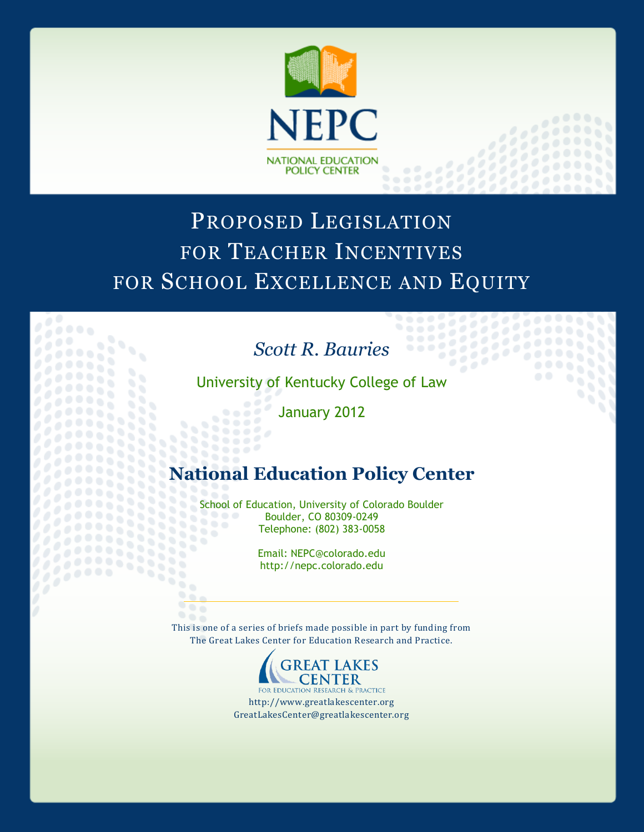

# PROPOSED LEGISLATION FOR TEACHER INCENTIVES FOR SCHOOL EXCELLENCE AND EQUITY

## *Scott R. Bauries*

. . . .

University of Kentucky College of Law

January 2012

 $0.0000$ 6666  $0.00000$ 

95

88

2222333

### **National Education Policy Center**

School of Education, University of Colorado Boulder<br>Boulder, CO 80309-0249  $\begin{array}{c} \bullet & \bullet & \bullet \end{array}$ Boulder, CO 80309-0249 Telephone: (802) 383-0058 88

> Email: NEPC@colorado.edu http://nepc.colorado.edu

965 This is one of a series of briefs made possible in part by funding from The Great Lakes Center for Education Research and Practice.



http://www.greatlakescenter.org GreatLakesCenter@greatlakescenter.org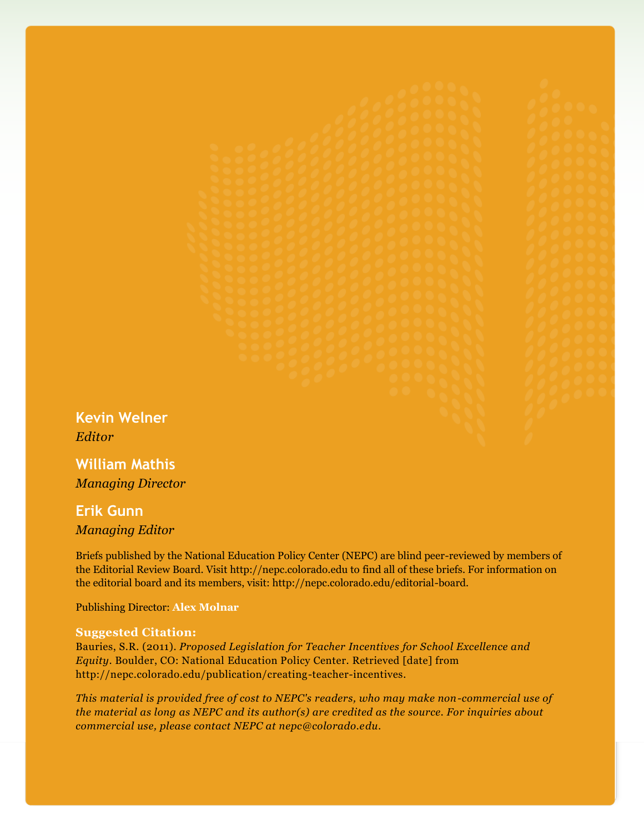**Kevin Welner** *Editor*

**William Mathis** *Managing Director*

### **Erik Gunn** *Managing Editor*

Briefs published by the National Education Policy Center (NEPC) are blind peer-reviewed by members of the Editorial Review Board. Visit http://nepc.colorado.edu to find all of these briefs. For information on the editorial board and its members, visit: http://nepc.colorado.edu/editorial-board.

Publishing Director: **Alex Molnar**

#### **Suggested Citation:**

Bauries, S.R. (2011). *Proposed Legislation for Teacher Incentives for School Excellence and Equity*. Boulder, CO: National Education Policy Center. Retrieved [date] from http://nepc.colorado.edu/publication/creating-teacher-incentives.

*This material is provided free of cost to NEPC's readers, who may make non-commercial use of the material as long as NEPC and its author(s) are credited as the source. For inquiries about commercial use, please contact NEPC at nepc@colorado.edu.*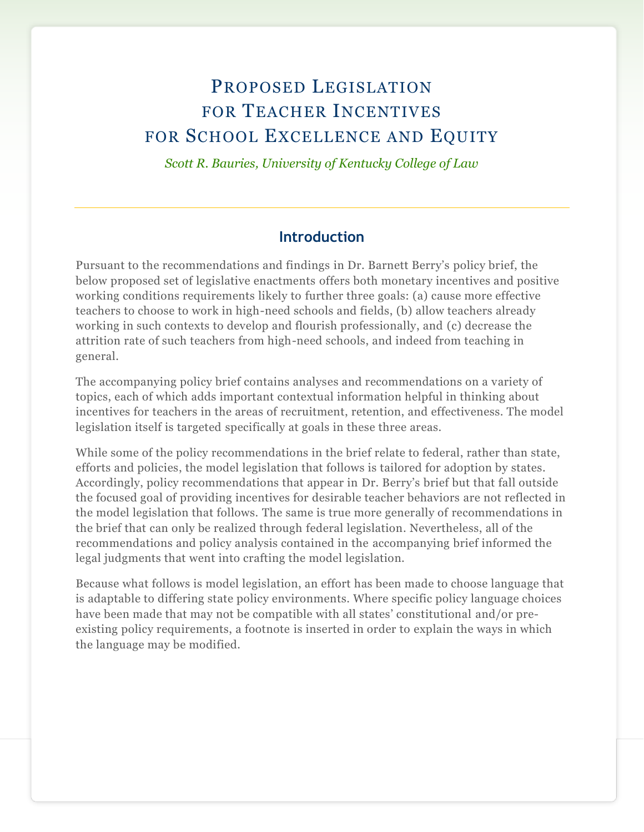### PROPOSED LEGISLATION FOR TEACHER INCENTIVES FOR SCHOOL EXCELLENCE AND EQUITY

*Scott R. Bauries, University of Kentucky College of Law*

#### **Introduction**

Pursuant to the recommendations and findings in Dr. Barnett Berry's policy brief, the below proposed set of legislative enactments offers both monetary incentives and positive working conditions requirements likely to further three goals: (a) cause more effective teachers to choose to work in high-need schools and fields, (b) allow teachers already working in such contexts to develop and flourish professionally, and (c) decrease the attrition rate of such teachers from high-need schools, and indeed from teaching in general.

The accompanying policy brief contains analyses and recommendations on a variety of topics, each of which adds important contextual information helpful in thinking about incentives for teachers in the areas of recruitment, retention, and effectiveness. The model legislation itself is targeted specifically at goals in these three areas.

While some of the policy recommendations in the brief relate to federal, rather than state, efforts and policies, the model legislation that follows is tailored for adoption by states. Accordingly, policy recommendations that appear in Dr. Berry's brief but that fall outside the focused goal of providing incentives for desirable teacher behaviors are not reflected in the model legislation that follows. The same is true more generally of recommendations in the brief that can only be realized through federal legislation. Nevertheless, all of the recommendations and policy analysis contained in the accompanying brief informed the legal judgments that went into crafting the model legislation.

Because what follows is model legislation, an effort has been made to choose language that is adaptable to differing state policy environments. Where specific policy language choices have been made that may not be compatible with all states' constitutional and/or preexisting policy requirements, a footnote is inserted in order to explain the ways in which the language may be modified.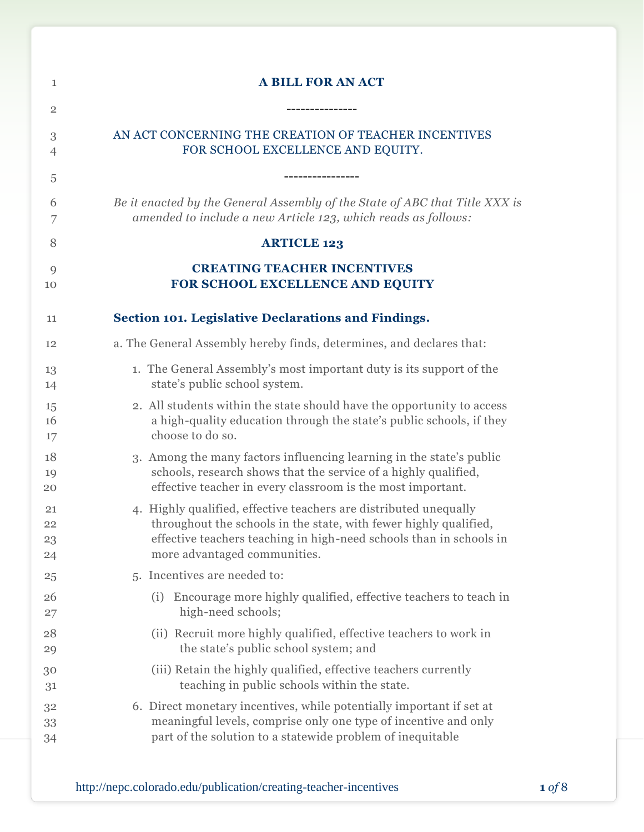| $\mathbf{1}$   | <b>A BILL FOR AN ACT</b>                                                                     |
|----------------|----------------------------------------------------------------------------------------------|
| $\overline{2}$ | ---------------                                                                              |
| 3              | AN ACT CONCERNING THE CREATION OF TEACHER INCENTIVES                                         |
| 4              | FOR SCHOOL EXCELLENCE AND EQUITY.                                                            |
| 5              |                                                                                              |
| 6              | Be it enacted by the General Assembly of the State of ABC that Title XXX is                  |
| 7              | amended to include a new Article 123, which reads as follows:                                |
| 8              | <b>ARTICLE 123</b>                                                                           |
| 9              | <b>CREATING TEACHER INCENTIVES</b>                                                           |
| 10             | FOR SCHOOL EXCELLENCE AND EQUITY                                                             |
| 11             | Section 101. Legislative Declarations and Findings.                                          |
| 12             | a. The General Assembly hereby finds, determines, and declares that:                         |
| 13             | 1. The General Assembly's most important duty is its support of the                          |
| 14             | state's public school system.                                                                |
| 15             | 2. All students within the state should have the opportunity to access                       |
| 16             | a high-quality education through the state's public schools, if they                         |
| 17             | choose to do so.                                                                             |
| 18             | 3. Among the many factors influencing learning in the state's public                         |
| 19             | schools, research shows that the service of a highly qualified,                              |
| 20             | effective teacher in every classroom is the most important.                                  |
| 21             | 4. Highly qualified, effective teachers are distributed unequally                            |
| 22             | throughout the schools in the state, with fewer highly qualified,                            |
| 23             | effective teachers teaching in high-need schools than in schools in                          |
| 24             | more advantaged communities.                                                                 |
| 25             | 5. Incentives are needed to:                                                                 |
| 26<br>27       | Encourage more highly qualified, effective teachers to teach in<br>(i)<br>high-need schools; |
| 28             | (ii) Recruit more highly qualified, effective teachers to work in                            |
| 29             | the state's public school system; and                                                        |
| 30             | (iii) Retain the highly qualified, effective teachers currently                              |
| 31             | teaching in public schools within the state.                                                 |
| 32             | 6. Direct monetary incentives, while potentially important if set at                         |
| 33             | meaningful levels, comprise only one type of incentive and only                              |
| 34             | part of the solution to a statewide problem of inequitable                                   |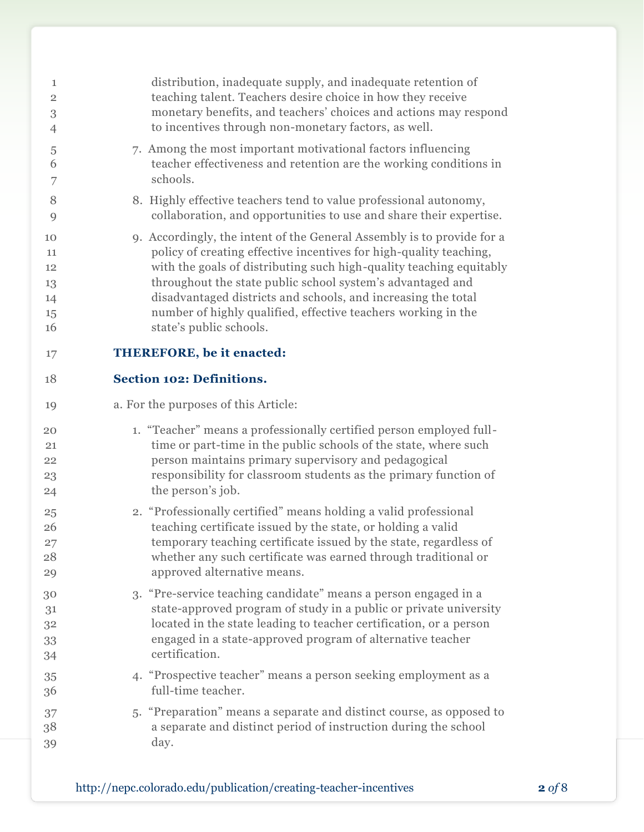| $\mathbf{1}$   | distribution, inadequate supply, and inadequate retention of           |
|----------------|------------------------------------------------------------------------|
| $\overline{2}$ | teaching talent. Teachers desire choice in how they receive            |
| 3              | monetary benefits, and teachers' choices and actions may respond       |
| 4              | to incentives through non-monetary factors, as well.                   |
| 5              | 7. Among the most important motivational factors influencing           |
| 6              | teacher effectiveness and retention are the working conditions in      |
| 7              | schools.                                                               |
| 8              | 8. Highly effective teachers tend to value professional autonomy,      |
| 9              | collaboration, and opportunities to use and share their expertise.     |
| 10             | 9. Accordingly, the intent of the General Assembly is to provide for a |
| 11             | policy of creating effective incentives for high-quality teaching,     |
| 12             | with the goals of distributing such high-quality teaching equitably    |
| 13             | throughout the state public school system's advantaged and             |
| 14             | disadvantaged districts and schools, and increasing the total          |
| 15             | number of highly qualified, effective teachers working in the          |
| 16             | state's public schools.                                                |
| 17             | <b>THEREFORE, be it enacted:</b>                                       |
| 18             | <b>Section 102: Definitions.</b>                                       |
| 19             | a. For the purposes of this Article:                                   |
| 20             | 1. "Teacher" means a professionally certified person employed full-    |
| 21             | time or part-time in the public schools of the state, where such       |
| 22             | person maintains primary supervisory and pedagogical                   |
| 23             | responsibility for classroom students as the primary function of       |
| 24             | the person's job.                                                      |
| 25             | 2. "Professionally certified" means holding a valid professional       |
| 26             | teaching certificate issued by the state, or holding a valid           |
| 27             | temporary teaching certificate issued by the state, regardless of      |
| 28             | whether any such certificate was earned through traditional or         |
| 29             | approved alternative means.                                            |
| 30             | 3. "Pre-service teaching candidate" means a person engaged in a        |
| 31             | state-approved program of study in a public or private university      |
| 32             | located in the state leading to teacher certification, or a person     |
| 33             | engaged in a state-approved program of alternative teacher             |
| 34             | certification.                                                         |
| 35             | 4. "Prospective teacher" means a person seeking employment as a        |
| 36             | full-time teacher.                                                     |
| 37             | 5. "Preparation" means a separate and distinct course, as opposed to   |
| 38             | a separate and distinct period of instruction during the school        |
| 39             | day.                                                                   |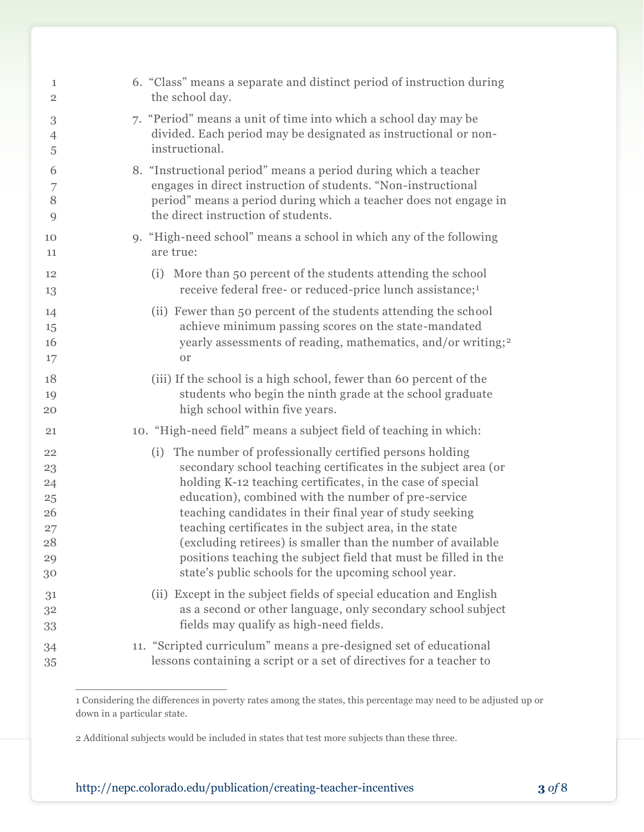| 1                                                  | 6. "Class" means a separate and distinct period of instruction during                                                                                                                                                                                                                                                                                                                                                                                                                                                                                                  |
|----------------------------------------------------|------------------------------------------------------------------------------------------------------------------------------------------------------------------------------------------------------------------------------------------------------------------------------------------------------------------------------------------------------------------------------------------------------------------------------------------------------------------------------------------------------------------------------------------------------------------------|
| $\overline{2}$                                     | the school day.                                                                                                                                                                                                                                                                                                                                                                                                                                                                                                                                                        |
| $\,3$                                              | 7. "Period" means a unit of time into which a school day may be                                                                                                                                                                                                                                                                                                                                                                                                                                                                                                        |
| $\overline{4}$                                     | divided. Each period may be designated as instructional or non-                                                                                                                                                                                                                                                                                                                                                                                                                                                                                                        |
| 5                                                  | instructional.                                                                                                                                                                                                                                                                                                                                                                                                                                                                                                                                                         |
| 6                                                  | 8. "Instructional period" means a period during which a teacher                                                                                                                                                                                                                                                                                                                                                                                                                                                                                                        |
| 7                                                  | engages in direct instruction of students. "Non-instructional                                                                                                                                                                                                                                                                                                                                                                                                                                                                                                          |
| 8                                                  | period" means a period during which a teacher does not engage in                                                                                                                                                                                                                                                                                                                                                                                                                                                                                                       |
| 9                                                  | the direct instruction of students.                                                                                                                                                                                                                                                                                                                                                                                                                                                                                                                                    |
| 10                                                 | 9. "High-need school" means a school in which any of the following                                                                                                                                                                                                                                                                                                                                                                                                                                                                                                     |
| 11                                                 | are true:                                                                                                                                                                                                                                                                                                                                                                                                                                                                                                                                                              |
| 12                                                 | (i) More than 50 percent of the students attending the school                                                                                                                                                                                                                                                                                                                                                                                                                                                                                                          |
| 13                                                 | receive federal free- or reduced-price lunch assistance; <sup>1</sup>                                                                                                                                                                                                                                                                                                                                                                                                                                                                                                  |
| 14                                                 | (ii) Fewer than 50 percent of the students attending the school                                                                                                                                                                                                                                                                                                                                                                                                                                                                                                        |
| 15                                                 | achieve minimum passing scores on the state-mandated                                                                                                                                                                                                                                                                                                                                                                                                                                                                                                                   |
| 16                                                 | yearly assessments of reading, mathematics, and/or writing; <sup>2</sup>                                                                                                                                                                                                                                                                                                                                                                                                                                                                                               |
| 17                                                 | <b>or</b>                                                                                                                                                                                                                                                                                                                                                                                                                                                                                                                                                              |
| 18                                                 | (iii) If the school is a high school, fewer than 60 percent of the                                                                                                                                                                                                                                                                                                                                                                                                                                                                                                     |
| 19                                                 | students who begin the ninth grade at the school graduate                                                                                                                                                                                                                                                                                                                                                                                                                                                                                                              |
| 20                                                 | high school within five years.                                                                                                                                                                                                                                                                                                                                                                                                                                                                                                                                         |
| 21                                                 | 10. "High-need field" means a subject field of teaching in which:                                                                                                                                                                                                                                                                                                                                                                                                                                                                                                      |
| 22<br>23<br>24<br>25<br>26<br>27<br>28<br>29<br>30 | The number of professionally certified persons holding<br>(i)<br>secondary school teaching certificates in the subject area (or<br>holding K-12 teaching certificates, in the case of special<br>education), combined with the number of pre-service<br>teaching candidates in their final year of study seeking<br>teaching certificates in the subject area, in the state<br>(excluding retirees) is smaller than the number of available<br>positions teaching the subject field that must be filled in the<br>state's public schools for the upcoming school year. |
| 31                                                 | (ii) Except in the subject fields of special education and English                                                                                                                                                                                                                                                                                                                                                                                                                                                                                                     |
| 32                                                 | as a second or other language, only secondary school subject                                                                                                                                                                                                                                                                                                                                                                                                                                                                                                           |
| 33                                                 | fields may qualify as high-need fields.                                                                                                                                                                                                                                                                                                                                                                                                                                                                                                                                |
| 34                                                 | 11. "Scripted curriculum" means a pre-designed set of educational                                                                                                                                                                                                                                                                                                                                                                                                                                                                                                      |
| 35                                                 | lessons containing a script or a set of directives for a teacher to                                                                                                                                                                                                                                                                                                                                                                                                                                                                                                    |

 Considering the differences in poverty rates among the states, this percentage may need to be adjusted up or down in a particular state.

 $\overline{a}$ 

Additional subjects would be included in states that test more subjects than these three.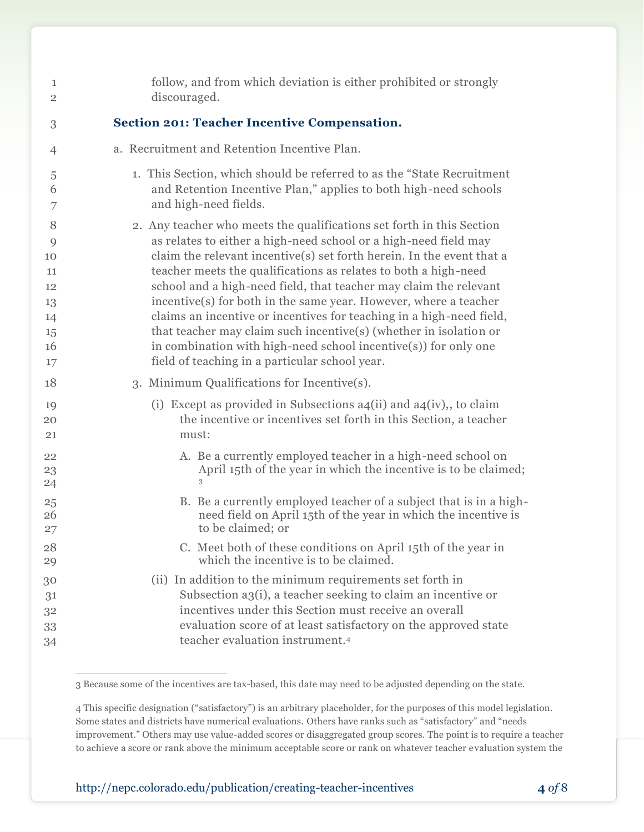| 1              | follow, and from which deviation is either prohibited or strongly        |
|----------------|--------------------------------------------------------------------------|
| $\overline{2}$ | discouraged.                                                             |
| 3              | <b>Section 201: Teacher Incentive Compensation.</b>                      |
| 4              | a. Recruitment and Retention Incentive Plan.                             |
| $\sqrt{5}$     | 1. This Section, which should be referred to as the "State Recruitment"  |
| 6              | and Retention Incentive Plan," applies to both high-need schools         |
| 7              | and high-need fields.                                                    |
| 8              | 2. Any teacher who meets the qualifications set forth in this Section    |
| 9              | as relates to either a high-need school or a high-need field may         |
| 10             | claim the relevant incentive(s) set forth herein. In the event that a    |
| 11             | teacher meets the qualifications as relates to both a high-need          |
| 12             | school and a high-need field, that teacher may claim the relevant        |
| 13             | incentive(s) for both in the same year. However, where a teacher         |
| 14             | claims an incentive or incentives for teaching in a high-need field,     |
| 15             | that teacher may claim such incentive(s) (whether in isolation or        |
| 16             | in combination with high-need school incentive(s)) for only one          |
| 17             | field of teaching in a particular school year.                           |
| 18             | 3. Minimum Qualifications for Incentive(s).                              |
| 19             | (i) Except as provided in Subsections $a_4(ii)$ and $a_4(iv)$ , to claim |
| 20             | the incentive or incentives set forth in this Section, a teacher         |
| 21             | must:                                                                    |
| 22             | A. Be a currently employed teacher in a high-need school on              |
| 23             | April 15th of the year in which the incentive is to be claimed;          |
| 24             | 3                                                                        |
| 25             | B. Be a currently employed teacher of a subject that is in a high-       |
| 26             | need field on April 15th of the year in which the incentive is           |
| 27             | to be claimed; or                                                        |
| 28             | C. Meet both of these conditions on April 15th of the year in            |
| 29             | which the incentive is to be claimed.                                    |
| 30             | (ii) In addition to the minimum requirements set forth in                |
| 31             | Subsection a3(i), a teacher seeking to claim an incentive or             |
| 32             | incentives under this Section must receive an overall                    |
| 33             | evaluation score of at least satisfactory on the approved state          |
| 34             | teacher evaluation instrument. <sup>4</sup>                              |

 $\overline{a}$ Because some of the incentives are tax-based, this date may need to be adjusted depending on the state.

 This specific designation ("satisfactory") is an arbitrary placeholder, for the purposes of this model legislation. Some states and districts have numerical evaluations. Others have ranks such as "satisfactory" and "needs improvement." Others may use value-added scores or disaggregated group scores. The point is to require a teacher to achieve a score or rank above the minimum acceptable score or rank on whatever teacher evaluation system the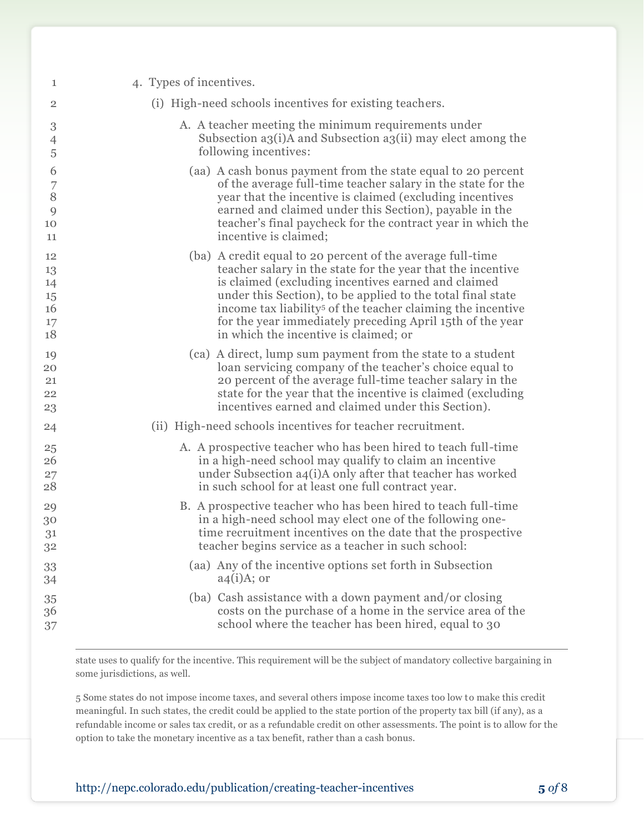| 1              | 4. Types of incentives.                                                 |
|----------------|-------------------------------------------------------------------------|
| $\overline{2}$ | (i) High-need schools incentives for existing teachers.                 |
| $\,3$          | A. A teacher meeting the minimum requirements under                     |
| 4              | Subsection a3(i)A and Subsection a3(ii) may elect among the             |
| 5              | following incentives:                                                   |
| 6              | (aa) A cash bonus payment from the state equal to 20 percent            |
| 7              | of the average full-time teacher salary in the state for the            |
| 8              | year that the incentive is claimed (excluding incentives                |
| 9              | earned and claimed under this Section), payable in the                  |
| 10             | teacher's final paycheck for the contract year in which the             |
| 11             | incentive is claimed;                                                   |
| 12             | (ba) A credit equal to 20 percent of the average full-time              |
| 13             | teacher salary in the state for the year that the incentive             |
| 14             | is claimed (excluding incentives earned and claimed                     |
| 15             | under this Section), to be applied to the total final state             |
| 16             | income tax liability <sup>5</sup> of the teacher claiming the incentive |
| 17             | for the year immediately preceding April 15th of the year               |
| 18             | in which the incentive is claimed; or                                   |
| 19             | (ca) A direct, lump sum payment from the state to a student             |
| 20             | loan servicing company of the teacher's choice equal to                 |
| 21             | 20 percent of the average full-time teacher salary in the               |
| 22             | state for the year that the incentive is claimed (excluding             |
| 23             | incentives earned and claimed under this Section).                      |
| 24             | (ii) High-need schools incentives for teacher recruitment.              |
| 25             | A. A prospective teacher who has been hired to teach full-time          |
| 26             | in a high-need school may qualify to claim an incentive                 |
| 27             | under Subsection a4(i)A only after that teacher has worked              |
| 28             | in such school for at least one full contract year.                     |
| 29             | B. A prospective teacher who has been hired to teach full-time          |
| 30             | in a high-need school may elect one of the following one-               |
| 31             | time recruitment incentives on the date that the prospective            |
| 32             | teacher begins service as a teacher in such school:                     |
| 33             | (aa) Any of the incentive options set forth in Subsection               |
| 34             | $a4(i)A;$ or                                                            |
| 35             | (ba) Cash assistance with a down payment and/or closing                 |
| 36             | costs on the purchase of a home in the service area of the              |
| 37             | school where the teacher has been hired, equal to 30                    |

state uses to qualify for the incentive. This requirement will be the subject of mandatory collective bargaining in some jurisdictions, as well.

 Some states do not impose income taxes, and several others impose income taxes too low to make this credit meaningful. In such states, the credit could be applied to the state portion of the property tax bill (if any), as a refundable income or sales tax credit, or as a refundable credit on other assessments. The point is to allow for the option to take the monetary incentive as a tax benefit, rather than a cash bonus.

 $\overline{a}$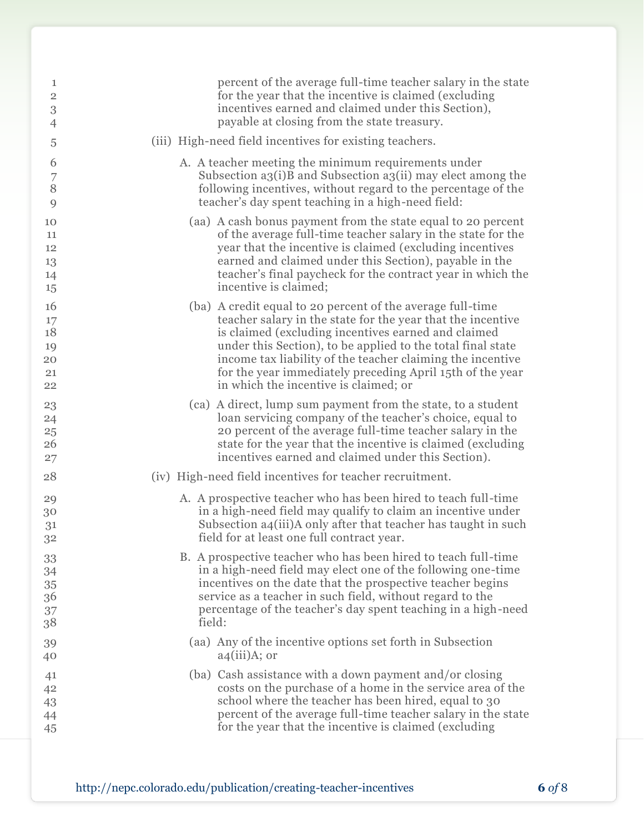| 1              | percent of the average full-time teacher salary in the state   |
|----------------|----------------------------------------------------------------|
| $\overline{2}$ | for the year that the incentive is claimed (excluding          |
| $\,3$          | incentives earned and claimed under this Section),             |
| $\overline{4}$ | payable at closing from the state treasury.                    |
| 5              | (iii) High-need field incentives for existing teachers.        |
| 6              | A. A teacher meeting the minimum requirements under            |
| 7              | Subsection a3(i)B and Subsection a3(ii) may elect among the    |
| 8              | following incentives, without regard to the percentage of the  |
| 9              | teacher's day spent teaching in a high-need field:             |
| 10             | (aa) A cash bonus payment from the state equal to 20 percent   |
| 11             | of the average full-time teacher salary in the state for the   |
| 12             | year that the incentive is claimed (excluding incentives       |
| 13             | earned and claimed under this Section), payable in the         |
| 14             | teacher's final paycheck for the contract year in which the    |
| 15             | incentive is claimed;                                          |
| 16             | (ba) A credit equal to 20 percent of the average full-time     |
| 17             | teacher salary in the state for the year that the incentive    |
| 18             | is claimed (excluding incentives earned and claimed            |
| 19             | under this Section), to be applied to the total final state    |
| 20             | income tax liability of the teacher claiming the incentive     |
| 21             | for the year immediately preceding April 15th of the year      |
| 22             | in which the incentive is claimed; or                          |
| 23             | (ca) A direct, lump sum payment from the state, to a student   |
| 24             | loan servicing company of the teacher's choice, equal to       |
| 25             | 20 percent of the average full-time teacher salary in the      |
| 26             | state for the year that the incentive is claimed (excluding    |
| 27             | incentives earned and claimed under this Section).             |
| 28             | (iv) High-need field incentives for teacher recruitment.       |
| 29             | A. A prospective teacher who has been hired to teach full-time |
| 30             | in a high-need field may qualify to claim an incentive under   |
| 31             | Subsection a4(iii)A only after that teacher has taught in such |
| 32             | field for at least one full contract year.                     |
| 33             | B. A prospective teacher who has been hired to teach full-time |
| 34             | in a high-need field may elect one of the following one-time   |
| 35             | incentives on the date that the prospective teacher begins     |
| 36             | service as a teacher in such field, without regard to the      |
| 37             | percentage of the teacher's day spent teaching in a high-need  |
| 38             | field:                                                         |
| 39             | (aa) Any of the incentive options set forth in Subsection      |
| 40             | $a4(iii)A;$ or                                                 |
| 41             | (ba) Cash assistance with a down payment and/or closing        |
| 42             | costs on the purchase of a home in the service area of the     |
| 43             | school where the teacher has been hired, equal to 30           |
| 44             | percent of the average full-time teacher salary in the state   |
| 45             | for the year that the incentive is claimed (excluding          |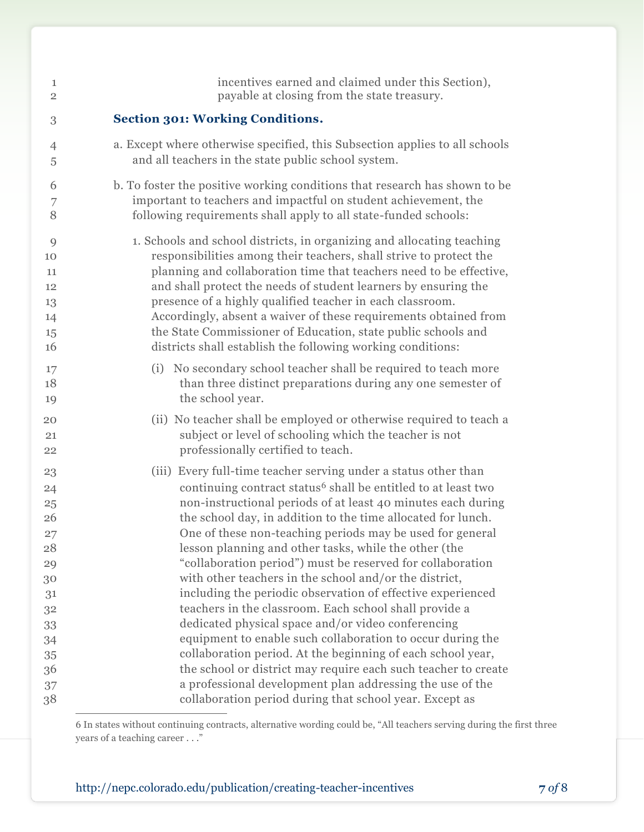| 1              | incentives earned and claimed under this Section),                          |
|----------------|-----------------------------------------------------------------------------|
| $\overline{2}$ | payable at closing from the state treasury.                                 |
| 3              | <b>Section 301: Working Conditions.</b>                                     |
| $\overline{4}$ | a. Except where otherwise specified, this Subsection applies to all schools |
| 5              | and all teachers in the state public school system.                         |
| 6              | b. To foster the positive working conditions that research has shown to be  |
| 7              | important to teachers and impactful on student achievement, the             |
| 8              | following requirements shall apply to all state-funded schools:             |
| 9              | 1. Schools and school districts, in organizing and allocating teaching      |
| 10             | responsibilities among their teachers, shall strive to protect the          |
| 11             | planning and collaboration time that teachers need to be effective,         |
| 12             | and shall protect the needs of student learners by ensuring the             |
| 13             | presence of a highly qualified teacher in each classroom.                   |
| 14             | Accordingly, absent a waiver of these requirements obtained from            |
| 15             | the State Commissioner of Education, state public schools and               |
| 16             | districts shall establish the following working conditions:                 |
| 17             | (i) No secondary school teacher shall be required to teach more             |
| 18             | than three distinct preparations during any one semester of                 |
| 19             | the school year.                                                            |
| 20             | (ii) No teacher shall be employed or otherwise required to teach a          |
| 21             | subject or level of schooling which the teacher is not                      |
| 22             | professionally certified to teach.                                          |
| 23             | (iii) Every full-time teacher serving under a status other than             |
| 24             | continuing contract status <sup>6</sup> shall be entitled to at least two   |
| 25             | non-instructional periods of at least 40 minutes each during                |
| 26             | the school day, in addition to the time allocated for lunch.                |
| 27             | One of these non-teaching periods may be used for general                   |
| 28             | lesson planning and other tasks, while the other (the                       |
| 29             | "collaboration period") must be reserved for collaboration                  |
| 30             | with other teachers in the school and/or the district,                      |
| 31             | including the periodic observation of effective experienced                 |
| 32             | teachers in the classroom. Each school shall provide a                      |
| 33             | dedicated physical space and/or video conferencing                          |
| 34             | equipment to enable such collaboration to occur during the                  |
| 35             | collaboration period. At the beginning of each school year,                 |
| 36             | the school or district may require each such teacher to create              |
| 37             | a professional development plan addressing the use of the                   |
| 38             | collaboration period during that school year. Except as                     |

 In states without continuing contracts, alternative wording could be, "All teachers serving during the first three years of a teaching career . . ."